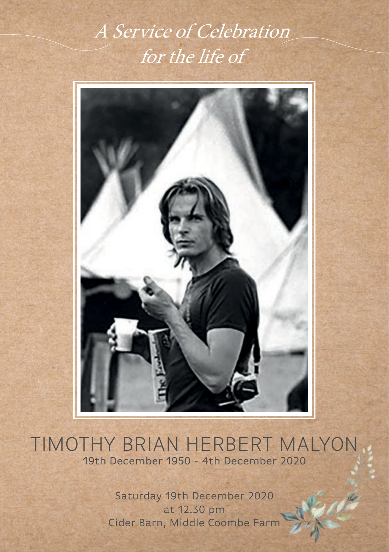# A Service of Celebration for the life of



# TIMOTHY BRIAN HERBERT MALYON 19th December 1950 - 4th December 2020

Saturday 19th December 2020 at 12.30 pm Cider Barn, Middle Coombe Farm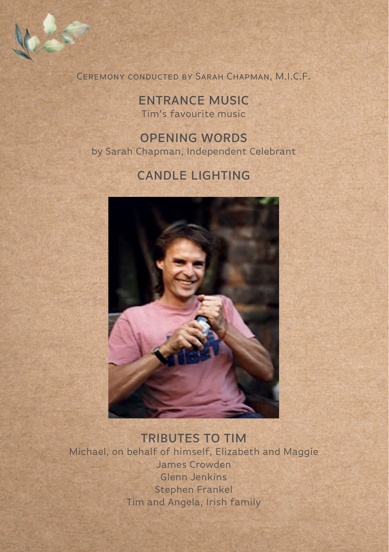Ceremony conducted by Sarah Chapman, M.I.C.F.

ENTRANCE MUSIC Tim's favourite music

OPENING WORDS by Sarah Chapman, Independent Celebrant

## CANDLE LIGHTING



#### TRIBUTES TO TIM

Michael, on behalf of himself, Elizabeth and Maggie James Crowden Glenn Jenkins Stephen Frankel Tim and Angela, Irish family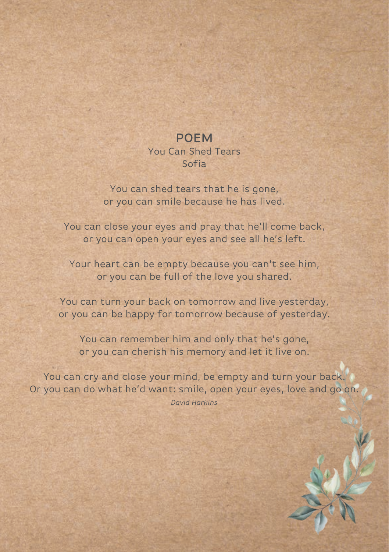# POEM

You Can Shed Tears Sofia

You can shed tears that he is gone, or you can smile because he has lived.

You can close your eyes and pray that he'll come back, or you can open your eyes and see all he's left.

Your heart can be empty because you can't see him, or you can be full of the love you shared.

You can turn your back on tomorrow and live yesterday, or you can be happy for tomorrow because of yesterday.

You can remember him and only that he's gone, or you can cherish his memory and let it live on.

You can cry and close your mind, be empty and turn your back. Or you can do what he'd want: smile, open your eyes, love and go on. *David Harkins*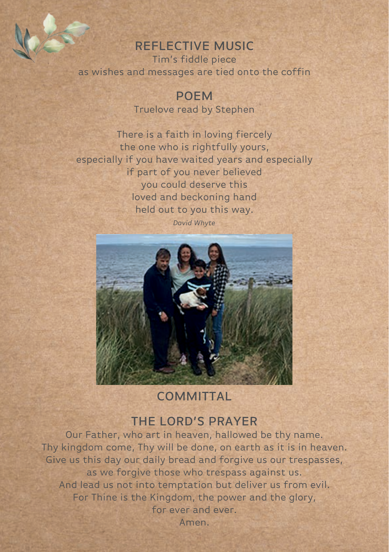#### REFLECTIVE MUSIC

Tim's fiddle piece as wishes and messages are tied onto the coffin

> POEM Truelove read by Stephen

There is a faith in loving fiercely the one who is rightfully yours, especially if you have waited years and especially if part of you never believed you could deserve this loved and beckoning hand held out to you this way.

*David Whyte*



#### **COMMITTAL**

#### THE LORD'S PRAYER

Our Father, who art in heaven, hallowed be thy name. Thy kingdom come, Thy will be done, on earth as it is in heaven. Give us this day our daily bread and forgive us our trespasses, as we forgive those who trespass against us. And lead us not into temptation but deliver us from evil. For Thine is the Kingdom, the power and the glory, for ever and ever. Amen.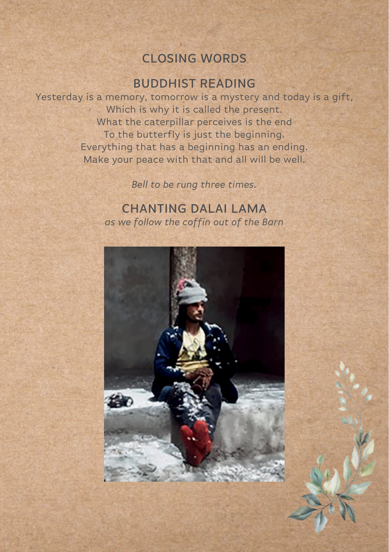### CLOSING WORDS

#### BUDDHIST READING

Yesterday is a memory, tomorrow is a mystery and today is a gift, Which is why it is called the present. 98 What the caterpillar perceives is the end To the butterfly is just the beginning. Everything that has a beginning has an ending. Make your peace with that and all will be well.

*Bell to be rung three times.*

CHANTING DALAI LAMA *as we follow the coffin out of the Barn*

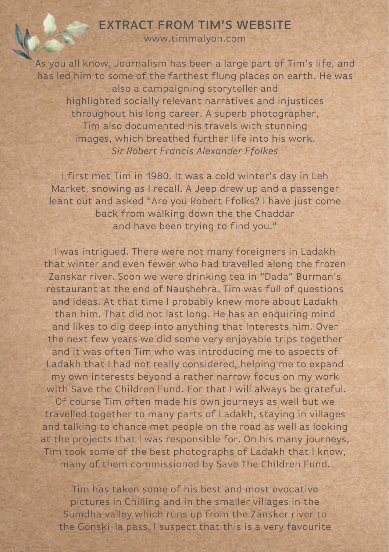## EXTRACT FROM TIM'S WEBSITE

www.timmalyon.com

As you all know, Journalism has been a large part of Tim's life, and has led him to some of the farthest flung places on earth. He was also a campaigning storyteller and highlighted socially relevant narratives and injustices throughout his long career. A superb photographer, Tim also documented his travels with stunning images, which breathed further life into his work. *Sir Robert Francis Alexander Ffolkes*

I first met Tim in 1980. It was a cold winter's day in Leh Market, snowing as I recall. A Jeep drew up and a passenger leant out and asked "Are you Robert Ffolks? I have just come back from walking down the the Chaddar and have been trying to find you."

I was intrigued. There were not many foreigners in Ladakh that winter and even fewer who had travelled along the frozen Zanskar river. Soon we were drinking tea in "Dada" Burman's restaurant at the end of Naushehra. Tim was full of questions and ideas. At that time I probably knew more about Ladakh than him. That did not last long. He has an enquiring mind and likes to dig deep into anything that Interests him. Over the next few years we did some very enjoyable trips together and it was often Tim who was introducing me to aspects of Ladakh that I had not really considered, helping me to expand my own interests beyond a rather narrow focus on my work with Save the Children Fund. For that I will always be grateful. Of course Tim often made his own journeys as well but we travelled together to many parts of Ladakh, staying in villages and talking to chance met people on the road as well as looking at the projects that l was responsible for. On his many journeys, Tim took some of the best photographs of Ladakh that l know, many of them commissioned by Save The Children Fund.

Tim has taken some of his best and most evocative pictures in Chilling and in the smaller villages in the Sumdha valley which runs up from the Zansker river to the Gonski-la pass. I suspect that this is a very favourite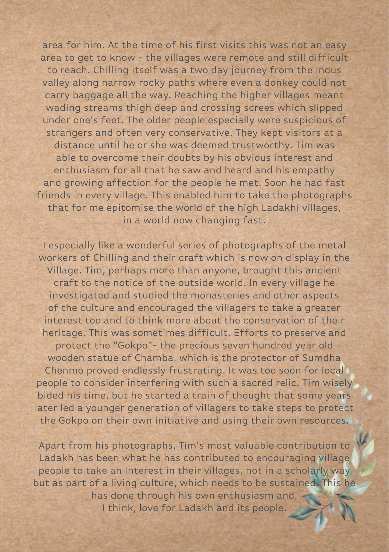area for him. At the time of his first visits this was not an easy area to get to know - the villages were remote and still difficult to reach. Chilling itself was a two day journey from the Indus valley along narrow rocky paths where even a donkey could not carry baggage all the way. Reaching the higher villages meant wading streams thigh deep and crossing screes which slipped under one's feet. The older people especially were suspicious of strangers and often very conservative. They kept visitors at a distance until he or she was deemed trustworthy. Tim was able to overcome their doubts by his obvious interest and enthusiasm for all that he saw and heard and his empathy and growing affection for the people he met. Soon he had fast friends in every village. This enabled him to take the photographs that for me epitomise the world of the high Ladakhi villages, in a world now changing fast.

I especially like a wonderful series of photographs of the metal workers of Chilling and their craft which is now on display in the Village. Tim, perhaps more than anyone, brought this ancient craft to the notice of the outside world. In every village he investigated and studied the monasteries and other aspects of the culture and encouraged the villagers to take a greater interest too and to think more about the conservation of their heritage. This was sometimes difficult. Efforts to preserve and protect the "Gokpo"- the precious seven hundred year old wooden statue of Chamba, which is the protector of Sumdha Chenmo proved endlessly frustrating. It was too soon for local people to consider interfering with such a sacred relic. Tim wisely bided his time, but he started a train of thought that some years later led a younger generation of villagers to take steps to protect the Gokpo on their own initiative and using their own resources.

Apart from his photographs, Tim's most valuable contribution to Ladakh has been what he has contributed to encouraging village people to take an interest in their villages, not in a scholarly way but as part of a living culture, which needs to be sustained. This he has done through his own enthusiasm and, I think, love for Ladakh and its people.